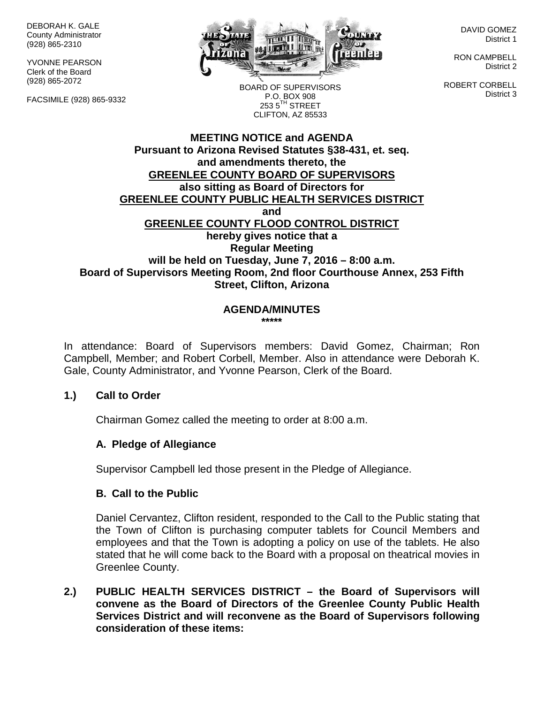DEBORAH K. GALE County Administrator (928) 865-2310

YVONNE PEARSON Clerk of the Board (928) 865-2072

FACSIMILE (928) 865-9332



DAVID GOMEZ District 1

RON CAMPBELL District 2

ROBERT CORBELL District 3

BOARD OF SUPERVISORS P.O. BOX 908  $253.5$ <sup>TH</sup> STREET CLIFTON, AZ 85533

## **MEETING NOTICE and AGENDA Pursuant to Arizona Revised Statutes §38-431, et. seq. and amendments thereto, the GREENLEE COUNTY BOARD OF SUPERVISORS also sitting as Board of Directors for GREENLEE COUNTY PUBLIC HEALTH SERVICES DISTRICT and GREENLEE COUNTY FLOOD CONTROL DISTRICT hereby gives notice that a Regular Meeting will be held on Tuesday, June 7, 2016 – 8:00 a.m. Board of Supervisors Meeting Room, 2nd floor Courthouse Annex, 253 Fifth Street, Clifton, Arizona**

#### **AGENDA/MINUTES \*\*\*\*\***

In attendance: Board of Supervisors members: David Gomez, Chairman; Ron Campbell, Member; and Robert Corbell, Member. Also in attendance were Deborah K. Gale, County Administrator, and Yvonne Pearson, Clerk of the Board.

## **1.) Call to Order**

Chairman Gomez called the meeting to order at 8:00 a.m.

## **A. Pledge of Allegiance**

Supervisor Campbell led those present in the Pledge of Allegiance.

## **B. Call to the Public**

Daniel Cervantez, Clifton resident, responded to the Call to the Public stating that the Town of Clifton is purchasing computer tablets for Council Members and employees and that the Town is adopting a policy on use of the tablets. He also stated that he will come back to the Board with a proposal on theatrical movies in Greenlee County.

**2.) PUBLIC HEALTH SERVICES DISTRICT – the Board of Supervisors will convene as the Board of Directors of the Greenlee County Public Health Services District and will reconvene as the Board of Supervisors following consideration of these items:**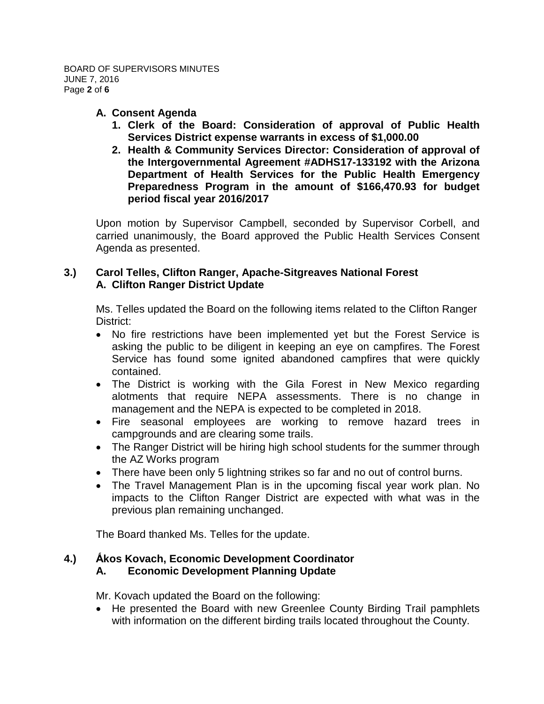## **A. Consent Agenda**

- **1. Clerk of the Board: Consideration of approval of Public Health Services District expense warrants in excess of \$1,000.00**
- **2. Health & Community Services Director: Consideration of approval of the Intergovernmental Agreement #ADHS17-133192 with the Arizona Department of Health Services for the Public Health Emergency Preparedness Program in the amount of \$166,470.93 for budget period fiscal year 2016/2017**

Upon motion by Supervisor Campbell, seconded by Supervisor Corbell, and carried unanimously, the Board approved the Public Health Services Consent Agenda as presented.

# **3.) Carol Telles, Clifton Ranger, Apache-Sitgreaves National Forest A. Clifton Ranger District Update**

Ms. Telles updated the Board on the following items related to the Clifton Ranger District:

- No fire restrictions have been implemented yet but the Forest Service is asking the public to be diligent in keeping an eye on campfires. The Forest Service has found some ignited abandoned campfires that were quickly contained.
- The District is working with the Gila Forest in New Mexico regarding alotments that require NEPA assessments. There is no change in management and the NEPA is expected to be completed in 2018.
- Fire seasonal employees are working to remove hazard trees in campgrounds and are clearing some trails.
- The Ranger District will be hiring high school students for the summer through the AZ Works program
- There have been only 5 lightning strikes so far and no out of control burns.
- The Travel Management Plan is in the upcoming fiscal year work plan. No impacts to the Clifton Ranger District are expected with what was in the previous plan remaining unchanged.

The Board thanked Ms. Telles for the update.

#### **4.) Ấkos Kovach, Economic Development Coordinator A. Economic Development Planning Update**

Mr. Kovach updated the Board on the following:

• He presented the Board with new Greenlee County Birding Trail pamphlets with information on the different birding trails located throughout the County.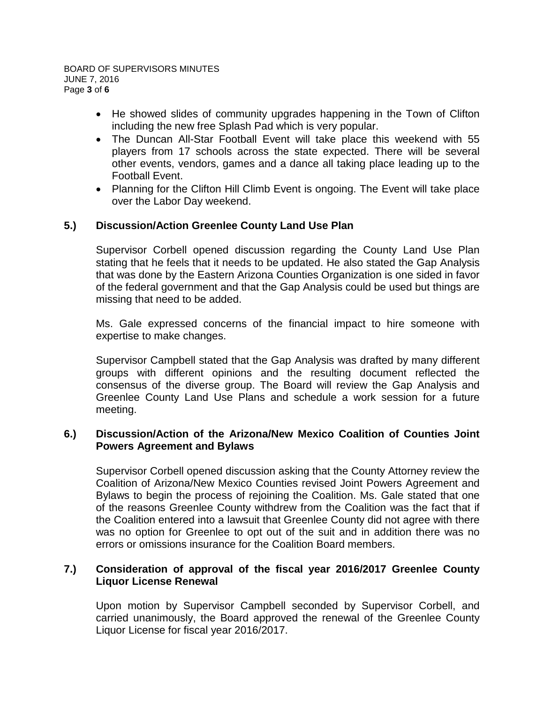- He showed slides of community upgrades happening in the Town of Clifton including the new free Splash Pad which is very popular.
- The Duncan All-Star Football Event will take place this weekend with 55 players from 17 schools across the state expected. There will be several other events, vendors, games and a dance all taking place leading up to the Football Event.
- Planning for the Clifton Hill Climb Event is ongoing. The Event will take place over the Labor Day weekend.

# **5.) Discussion/Action Greenlee County Land Use Plan**

Supervisor Corbell opened discussion regarding the County Land Use Plan stating that he feels that it needs to be updated. He also stated the Gap Analysis that was done by the Eastern Arizona Counties Organization is one sided in favor of the federal government and that the Gap Analysis could be used but things are missing that need to be added.

Ms. Gale expressed concerns of the financial impact to hire someone with expertise to make changes.

Supervisor Campbell stated that the Gap Analysis was drafted by many different groups with different opinions and the resulting document reflected the consensus of the diverse group. The Board will review the Gap Analysis and Greenlee County Land Use Plans and schedule a work session for a future meeting.

## **6.) Discussion/Action of the Arizona/New Mexico Coalition of Counties Joint Powers Agreement and Bylaws**

Supervisor Corbell opened discussion asking that the County Attorney review the Coalition of Arizona/New Mexico Counties revised Joint Powers Agreement and Bylaws to begin the process of rejoining the Coalition. Ms. Gale stated that one of the reasons Greenlee County withdrew from the Coalition was the fact that if the Coalition entered into a lawsuit that Greenlee County did not agree with there was no option for Greenlee to opt out of the suit and in addition there was no errors or omissions insurance for the Coalition Board members.

## **7.) Consideration of approval of the fiscal year 2016/2017 Greenlee County Liquor License Renewal**

Upon motion by Supervisor Campbell seconded by Supervisor Corbell, and carried unanimously, the Board approved the renewal of the Greenlee County Liquor License for fiscal year 2016/2017.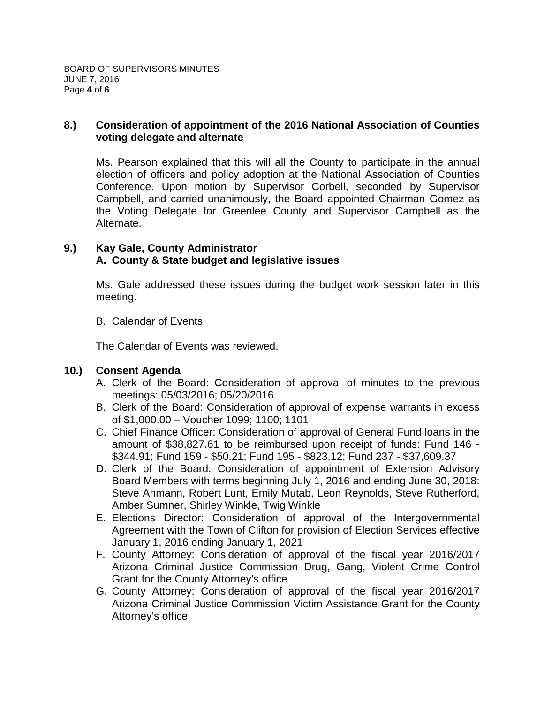## **8.) Consideration of appointment of the 2016 National Association of Counties voting delegate and alternate**

Ms. Pearson explained that this will all the County to participate in the annual election of officers and policy adoption at the National Association of Counties Conference. Upon motion by Supervisor Corbell, seconded by Supervisor Campbell, and carried unanimously, the Board appointed Chairman Gomez as the Voting Delegate for Greenlee County and Supervisor Campbell as the Alternate.

## **9.) Kay Gale, County Administrator A. County & State budget and legislative issues**

Ms. Gale addressed these issues during the budget work session later in this meeting.

B. Calendar of Events

The Calendar of Events was reviewed.

# **10.) Consent Agenda**

- A. Clerk of the Board: Consideration of approval of minutes to the previous meetings: 05/03/2016; 05/20/2016
- B. Clerk of the Board: Consideration of approval of expense warrants in excess of \$1,000.00 – Voucher 1099; 1100; 1101
- C. Chief Finance Officer: Consideration of approval of General Fund loans in the amount of \$38,827.61 to be reimbursed upon receipt of funds: Fund 146 - \$344.91; Fund 159 - \$50.21; Fund 195 - \$823.12; Fund 237 - \$37,609.37
- D. Clerk of the Board: Consideration of appointment of Extension Advisory Board Members with terms beginning July 1, 2016 and ending June 30, 2018: Steve Ahmann, Robert Lunt, Emily Mutab, Leon Reynolds, Steve Rutherford, Amber Sumner, Shirley Winkle, Twig Winkle
- E. Elections Director: Consideration of approval of the Intergovernmental Agreement with the Town of Clifton for provision of Election Services effective January 1, 2016 ending January 1, 2021
- F. County Attorney: Consideration of approval of the fiscal year 2016/2017 Arizona Criminal Justice Commission Drug, Gang, Violent Crime Control Grant for the County Attorney's office
- G. County Attorney: Consideration of approval of the fiscal year 2016/2017 Arizona Criminal Justice Commission Victim Assistance Grant for the County Attorney's office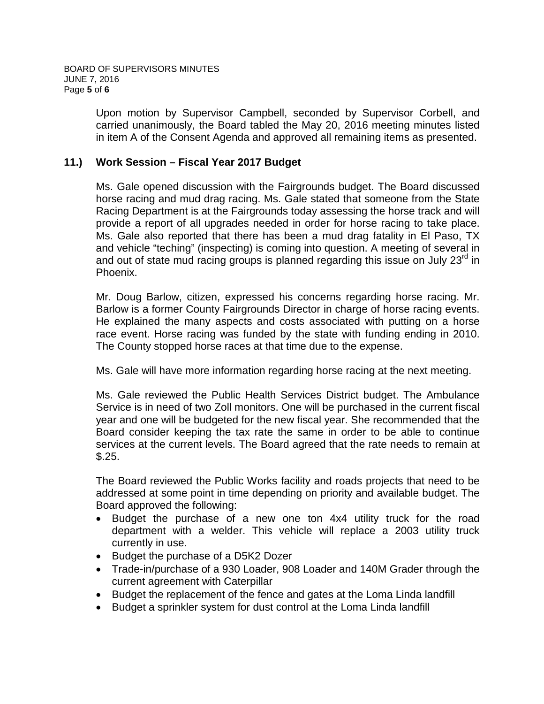Upon motion by Supervisor Campbell, seconded by Supervisor Corbell, and carried unanimously, the Board tabled the May 20, 2016 meeting minutes listed in item A of the Consent Agenda and approved all remaining items as presented.

## **11.) Work Session – Fiscal Year 2017 Budget**

Ms. Gale opened discussion with the Fairgrounds budget. The Board discussed horse racing and mud drag racing. Ms. Gale stated that someone from the State Racing Department is at the Fairgrounds today assessing the horse track and will provide a report of all upgrades needed in order for horse racing to take place. Ms. Gale also reported that there has been a mud drag fatality in El Paso, TX and vehicle "teching" (inspecting) is coming into question. A meeting of several in and out of state mud racing groups is planned regarding this issue on July  $23^{\text{rd}}$  in Phoenix.

Mr. Doug Barlow, citizen, expressed his concerns regarding horse racing. Mr. Barlow is a former County Fairgrounds Director in charge of horse racing events. He explained the many aspects and costs associated with putting on a horse race event. Horse racing was funded by the state with funding ending in 2010. The County stopped horse races at that time due to the expense.

Ms. Gale will have more information regarding horse racing at the next meeting.

Ms. Gale reviewed the Public Health Services District budget. The Ambulance Service is in need of two Zoll monitors. One will be purchased in the current fiscal year and one will be budgeted for the new fiscal year. She recommended that the Board consider keeping the tax rate the same in order to be able to continue services at the current levels. The Board agreed that the rate needs to remain at \$.25.

The Board reviewed the Public Works facility and roads projects that need to be addressed at some point in time depending on priority and available budget. The Board approved the following:

- Budget the purchase of a new one ton 4x4 utility truck for the road department with a welder. This vehicle will replace a 2003 utility truck currently in use.
- Budget the purchase of a D5K2 Dozer
- Trade-in/purchase of a 930 Loader, 908 Loader and 140M Grader through the current agreement with Caterpillar
- Budget the replacement of the fence and gates at the Loma Linda landfill
- Budget a sprinkler system for dust control at the Loma Linda landfill